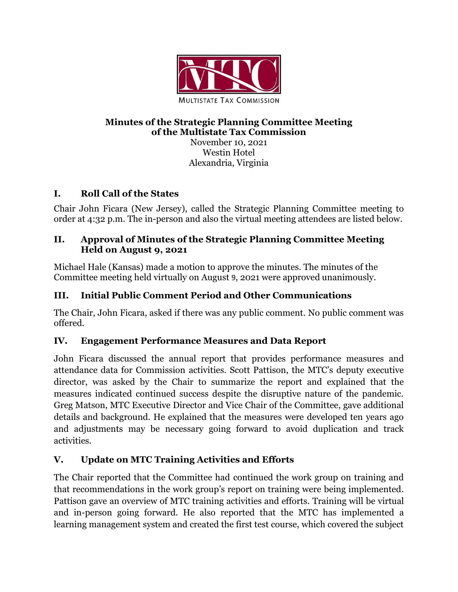

#### **Minutes of the Strategic Planning Committee Meeting of the Multistate Tax Commission**

November 10, 2021 Westin Hotel Alexandria, Virginia

# **I. Roll Call of the States**

Chair John Ficara (New Jersey), called the Strategic Planning Committee meeting to order at 4:32 p.m. The in-person and also the virtual meeting attendees are listed below.

### **II. Approval of Minutes of the Strategic Planning Committee Meeting Held on August 9, 2021**

Michael Hale (Kansas) made a motion to approve the minutes. The minutes of the Committee meeting held virtually on August 9, 2021 were approved unanimously.

# **III. Initial Public Comment Period and Other Communications**

The Chair, John Ficara, asked if there was any public comment. No public comment was offered.

# **IV. Engagement Performance Measures and Data Report**

John Ficara discussed the annual report that provides performance measures and attendance data for Commission activities. Scott Pattison, the MTC's deputy executive director, was asked by the Chair to summarize the report and explained that the measures indicated continued success despite the disruptive nature of the pandemic. Greg Matson, MTC Executive Director and Vice Chair of the Committee, gave additional details and background. He explained that the measures were developed ten years ago and adjustments may be necessary going forward to avoid duplication and track activities.

# **V. Update on MTC Training Activities and Efforts**

The Chair reported that the Committee had continued the work group on training and that recommendations in the work group's report on training were being implemented. Pattison gave an overview of MTC training activities and efforts. Training will be virtual and in-person going forward. He also reported that the MTC has implemented a learning management system and created the first test course, which covered the subject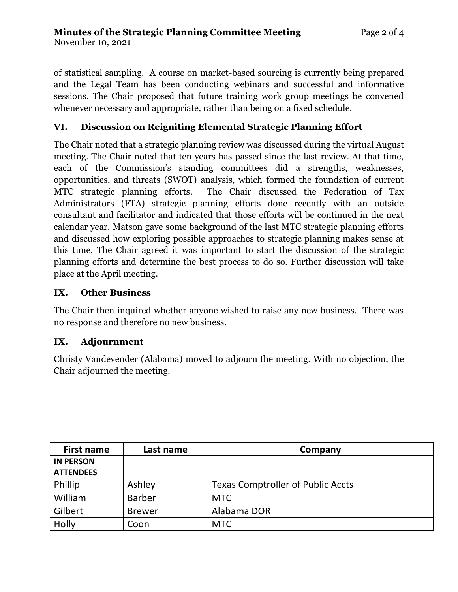of statistical sampling. A course on market-based sourcing is currently being prepared and the Legal Team has been conducting webinars and successful and informative sessions. The Chair proposed that future training work group meetings be convened whenever necessary and appropriate, rather than being on a fixed schedule.

### **VI. Discussion on Reigniting Elemental Strategic Planning Effort**

The Chair noted that a strategic planning review was discussed during the virtual August meeting. The Chair noted that ten years has passed since the last review. At that time, each of the Commission's standing committees did a strengths, weaknesses, opportunities, and threats (SWOT) analysis, which formed the foundation of current MTC strategic planning efforts. The Chair discussed the Federation of Tax Administrators (FTA) strategic planning efforts done recently with an outside consultant and facilitator and indicated that those efforts will be continued in the next calendar year. Matson gave some background of the last MTC strategic planning efforts and discussed how exploring possible approaches to strategic planning makes sense at this time. The Chair agreed it was important to start the discussion of the strategic planning efforts and determine the best process to do so. Further discussion will take place at the April meeting.

#### **IX. Other Business**

The Chair then inquired whether anyone wished to raise any new business. There was no response and therefore no new business.

#### **IX. Adjournment**

Christy Vandevender (Alabama) moved to adjourn the meeting. With no objection, the Chair adjourned the meeting.

| <b>First name</b> | Last name     | Company                                  |
|-------------------|---------------|------------------------------------------|
| <b>IN PERSON</b>  |               |                                          |
| <b>ATTENDEES</b>  |               |                                          |
| Phillip           | Ashley        | <b>Texas Comptroller of Public Accts</b> |
| William           | <b>Barber</b> | <b>MTC</b>                               |
| Gilbert           | <b>Brewer</b> | Alabama DOR                              |
| Holly             | Coon          | <b>MTC</b>                               |